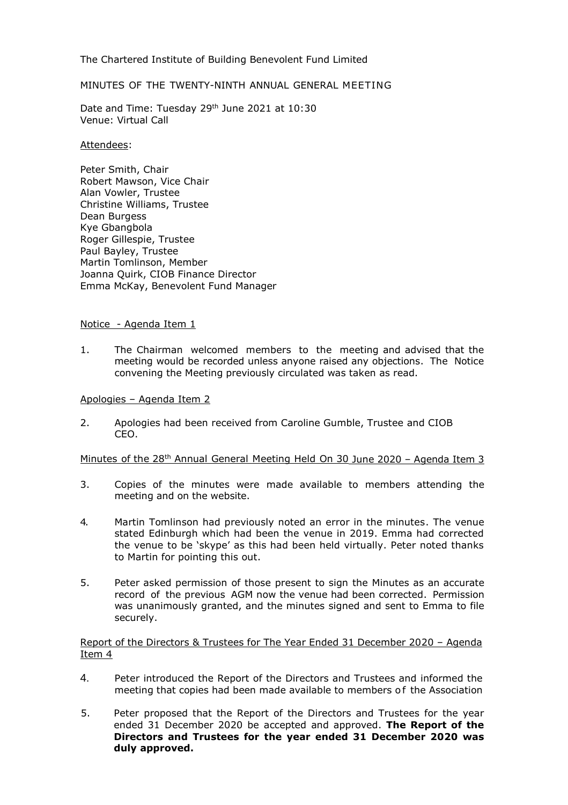The Chartered Institute of Building Benevolent Fund Limited

# MINUTES OF THE TWENTY-NINTH ANNUAL GENERAL MEETING

Date and Time: Tuesday 29<sup>th</sup> June 2021 at 10:30 Venue: Virtual Call

### Attendees:

Peter Smith, Chair Robert Mawson, Vice Chair Alan Vowler, Trustee Christine Williams, Trustee Dean Burgess Kye Gbangbola Roger Gillespie, Trustee Paul Bayley, Trustee Martin Tomlinson, Member Joanna Quirk, CIOB Finance Director Emma McKay, Benevolent Fund Manager

## Notice - Agenda Item 1

1. The Chairman welcomed members to the meeting and advised that the meeting would be recorded unless anyone raised any objections. The Notice convening the Meeting previously circulated was taken as read.

## Apologies – Agenda Item 2

2. Apologies had been received from Caroline Gumble, Trustee and CIOB CEO.

## Minutes of the  $28<sup>th</sup>$  Annual General Meeting Held On 30 June 2020 – Agenda Item 3

- 3. Copies of the minutes were made available to members attending the meeting and on the website.
- 4. Martin Tomlinson had previously noted an error in the minutes. The venue stated Edinburgh which had been the venue in 2019. Emma had corrected the venue to be 'skype' as this had been held virtually. Peter noted thanks to Martin for pointing this out.
- 5. Peter asked permission of those present to sign the Minutes as an accurate record of the previous AGM now the venue had been corrected. Permission was unanimously granted, and the minutes signed and sent to Emma to file securely.

## Report of the Directors & Trustees for The Year Ended 31 December 2020 – Agenda Item 4

- 4. Peter introduced the Report of the Directors and Trustees and informed the meeting that copies had been made available to members of the Association
- 5. Peter proposed that the Report of the Directors and Trustees for the year ended 31 December 2020 be accepted and approved. **The Report of the Directors and Trustees for the year ended 31 December 2020 was duly approved.**